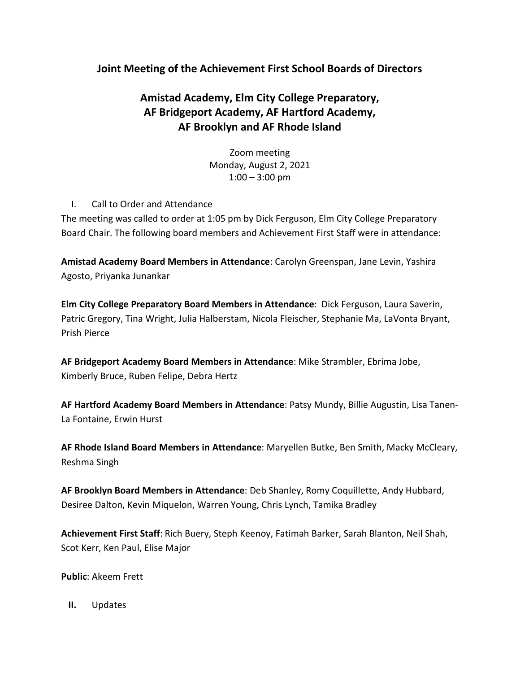# **Joint Meeting of the Achievement First School Boards of Directors**

# **Amistad Academy, Elm City College Preparatory, AF Bridgeport Academy, AF Hartford Academy, AF Brooklyn and AF Rhode Island**

Zoom meeting Monday, August 2, 2021  $1:00 - 3:00$  pm

I. Call to Order and Attendance

The meeting was called to order at 1:05 pm by Dick Ferguson, Elm City College Preparatory Board Chair. The following board members and Achievement First Staff were in attendance:

**Amistad Academy Board Members in Attendance**: Carolyn Greenspan, Jane Levin, Yashira Agosto, Priyanka Junankar

**Elm City College Preparatory Board Members in Attendance**: Dick Ferguson, Laura Saverin, Patric Gregory, Tina Wright, Julia Halberstam, Nicola Fleischer, Stephanie Ma, LaVonta Bryant, Prish Pierce

**AF Bridgeport Academy Board Members in Attendance**: Mike Strambler, Ebrima Jobe, Kimberly Bruce, Ruben Felipe, Debra Hertz

**AF Hartford Academy Board Members in Attendance**: Patsy Mundy, Billie Augustin, Lisa Tanen-La Fontaine, Erwin Hurst

**AF Rhode Island Board Members in Attendance**: Maryellen Butke, Ben Smith, Macky McCleary, Reshma Singh

**AF Brooklyn Board Members in Attendance**: Deb Shanley, Romy Coquillette, Andy Hubbard, Desiree Dalton, Kevin Miquelon, Warren Young, Chris Lynch, Tamika Bradley

**Achievement First Staff**: Rich Buery, Steph Keenoy, Fatimah Barker, Sarah Blanton, Neil Shah, Scot Kerr, Ken Paul, Elise Major

**Public**: Akeem Frett

**II.** Updates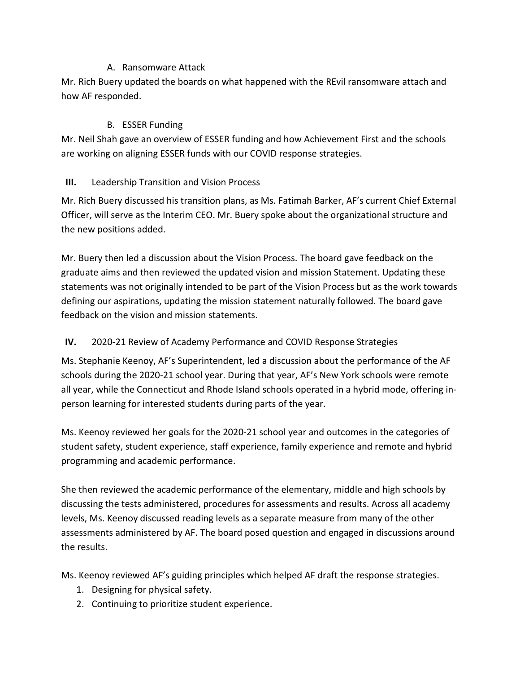#### A. Ransomware Attack

Mr. Rich Buery updated the boards on what happened with the REvil ransomware attach and how AF responded.

#### B. ESSER Funding

Mr. Neil Shah gave an overview of ESSER funding and how Achievement First and the schools are working on aligning ESSER funds with our COVID response strategies.

#### **III.** Leadership Transition and Vision Process

Mr. Rich Buery discussed his transition plans, as Ms. Fatimah Barker, AF's current Chief External Officer, will serve as the Interim CEO. Mr. Buery spoke about the organizational structure and the new positions added.

Mr. Buery then led a discussion about the Vision Process. The board gave feedback on the graduate aims and then reviewed the updated vision and mission Statement. Updating these statements was not originally intended to be part of the Vision Process but as the work towards defining our aspirations, updating the mission statement naturally followed. The board gave feedback on the vision and mission statements.

## **IV.** 2020-21 Review of Academy Performance and COVID Response Strategies

Ms. Stephanie Keenoy, AF's Superintendent, led a discussion about the performance of the AF schools during the 2020-21 school year. During that year, AF's New York schools were remote all year, while the Connecticut and Rhode Island schools operated in a hybrid mode, offering inperson learning for interested students during parts of the year.

Ms. Keenoy reviewed her goals for the 2020-21 school year and outcomes in the categories of student safety, student experience, staff experience, family experience and remote and hybrid programming and academic performance.

She then reviewed the academic performance of the elementary, middle and high schools by discussing the tests administered, procedures for assessments and results. Across all academy levels, Ms. Keenoy discussed reading levels as a separate measure from many of the other assessments administered by AF. The board posed question and engaged in discussions around the results.

Ms. Keenoy reviewed AF's guiding principles which helped AF draft the response strategies.

- 1. Designing for physical safety.
- 2. Continuing to prioritize student experience.